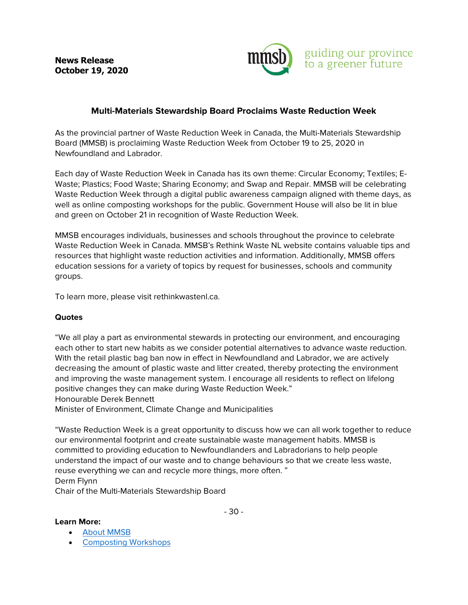**News Release October 19, 2020** 



## **Multi-Materials Stewardship Board Proclaims Waste Reduction Week**

As the provincial partner of Waste Reduction Week in Canada, the Multi-Materials Stewardship Board (MMSB) is proclaiming Waste Reduction Week from October 19 to 25, 2020 in Newfoundland and Labrador.

Each day of Waste Reduction Week in Canada has its own theme: Circular Economy; Textiles; E-Waste; Plastics; Food Waste; Sharing Economy; and Swap and Repair. MMSB will be celebrating Waste Reduction Week through a digital public awareness campaign aligned with theme days, as well as online composting workshops for the public. Government House will also be lit in blue and green on October 21 in recognition of Waste Reduction Week.

MMSB encourages individuals, businesses and schools throughout the province to celebrate Waste Reduction Week in Canada. MMSB's Rethink Waste NL website contains valuable tips and resources that highlight waste reduction activities and information. Additionally, MMSB offers education sessions for a variety of topics by request for businesses, schools and community groups.

To learn more, please visit rethinkwastenl.ca.

## **Quotes**

"We all play a part as environmental stewards in protecting our environment, and encouraging each other to start new habits as we consider potential alternatives to advance waste reduction. With the retail plastic bag ban now in effect in Newfoundland and Labrador, we are actively decreasing the amount of plastic waste and litter created, thereby protecting the environment and improving the waste management system. I encourage all residents to reflect on lifelong positive changes they can make during Waste Reduction Week." Honourable Derek Bennett

Minister of Environment, Climate Change and Municipalities

"Waste Reduction Week is a great opportunity to discuss how we can all work together to reduce our environmental footprint and create sustainable waste management habits. MMSB is committed to providing education to Newfoundlanders and Labradorians to help people understand the impact of our waste and to change behaviours so that we create less waste, reuse everything we can and recycle more things, more often. " Derm Flynn

Chair of the Multi-Materials Stewardship Board

## **Learn More:**

- [About MMSB](https://mmsb.nl.ca/about-mmsb/)
- [Composting Workshops](https://rethinkwastenl.ca/community/community-outreach/)